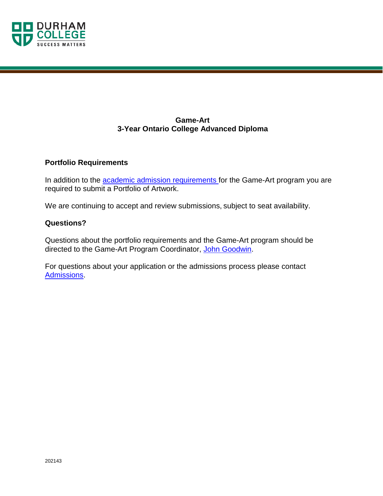

# **Game-Art 3-Year Ontario College Advanced Diploma**

# **Portfolio Requirements**

In addition to the [academic admission requirements f](https://durhamcollege.ca/programs/game-art#tabAdmission)or the Game-Art program you are required to submit a Portfolio of Artwork.

We are continuing to accept and review submissions, subject to seat availability.

## **Questions?**

Questions about the portfolio requirements and the Game-Art program should be directed to the Game-Art Program Coordinator, [John Goodwin.](mailto:john.goodwin@durhamcollege.ca)

For questions about your application or the admissions process please contact [Admissions.](mailto:admissions@durhamcollege.ca)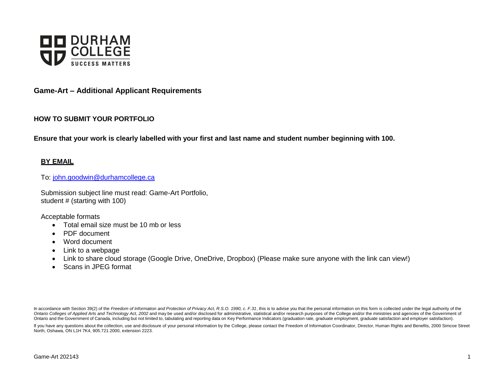

## **Game-Art – Additional Applicant Requirements**

### **HOW TO SUBMIT YOUR PORTFOLIO**

**Ensure that your work is clearly labelled with your first and last name and student number beginning with 100.**

### **BY EMAIL**

To: [john.goodwin@durhamcollege.ca](mailto:john.goodwin@durhamcollege.ca)

Submission subject line must read: Game-Art Portfolio, student # (starting with 100)

Acceptable formats

- Total email size must be 10 mb or less
- PDF document
- Word document
- Link to a webpage
- Link to share cloud storage (Google Drive, OneDrive, Dropbox) (Please make sure anyone with the link can view!)
- Scans in JPEG format

In accordance with Section 39(2) of the Freedom of Information and Protection of Privacy Act, R.S.O. 1990, c. F.31, this is to advise you that the personal information on this form is collected under the legal authority of Ontario Colleges of Applied Arts and Technology Act, 2002 and may be used and/or disclosed for administrative, statistical and/or research purposes of the College and/or the ministries and agencies of the Government of Ontario and the Government of Canada, including but not limited to, tabulating and reporting data on Key Performance Indicators (graduation rate, graduate employment, graduate satisfaction and employer satisfaction).

If you have any questions about the collection, use and disclosure of your personal information by the College, please contact the Freedom of Information Coordinator, Director, Human Rights and Benefits, 2000 Simcoe Street North, Oshawa, ON L1H 7K4, 905.721.2000, extension 2223.